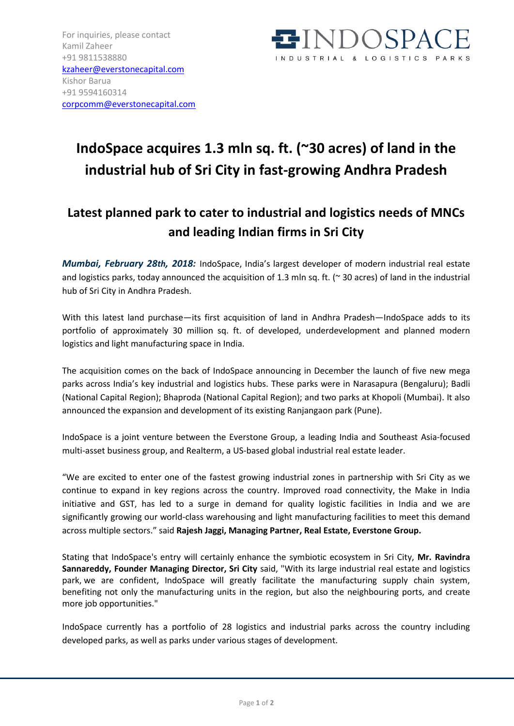

## **IndoSpace acquires 1.3 mln sq. ft. (~30 acres) of land in the industrial hub of Sri City in fast-growing Andhra Pradesh**

## **Latest planned park to cater to industrial and logistics needs of MNCs and leading Indian firms in Sri City**

*Mumbai, February 28th, 2018:* IndoSpace, India's largest developer of modern industrial real estate and logistics parks, today announced the acquisition of 1.3 mln sq. ft. (~ 30 acres) of land in the industrial hub of Sri City in Andhra Pradesh.

With this latest land purchase—its first acquisition of land in Andhra Pradesh—IndoSpace adds to its portfolio of approximately 30 million sq. ft. of developed, underdevelopment and planned modern logistics and light manufacturing space in India.

The acquisition comes on the back of IndoSpace announcing in December the launch of five new mega parks across India's key industrial and logistics hubs. These parks were in Narasapura (Bengaluru); Badli (National Capital Region); Bhaproda (National Capital Region); and two parks at Khopoli (Mumbai). It also announced the expansion and development of its existing Ranjangaon park (Pune).

IndoSpace is a joint venture between the Everstone Group, a leading India and Southeast Asia-focused multi-asset business group, and Realterm, a US-based global industrial real estate leader.

"We are excited to enter one of the fastest growing industrial zones in partnership with Sri City as we continue to expand in key regions across the country. Improved road connectivity, the Make in India initiative and GST, has led to a surge in demand for quality logistic facilities in India and we are significantly growing our world-class warehousing and light manufacturing facilities to meet this demand across multiple sectors." said **Rajesh Jaggi, Managing Partner, Real Estate, Everstone Group.**

Stating that IndoSpace's entry will certainly enhance the symbiotic ecosystem in Sri City, **Mr. Ravindra Sannareddy, Founder Managing Director, Sri City** said, "With its large industrial real estate and logistics park, we are confident, IndoSpace will greatly facilitate the manufacturing supply chain system, benefiting not only the manufacturing units in the region, but also the neighbouring ports, and create more job opportunities."

IndoSpace currently has a portfolio of 28 logistics and industrial parks across the country including developed parks, as well as parks under various stages of development.